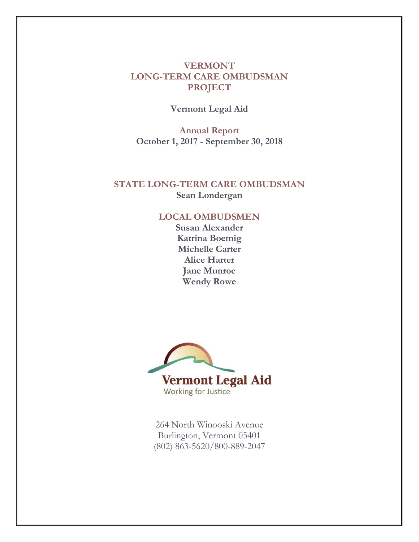# **VERMONT LONG-TERM CARE OMBUDSMAN PROJECT**

**Vermont Legal Aid**

**Annual Report October 1, 2017 - September 30, 2018**

# **STATE LONG-TERM CARE OMBUDSMAN Sean Londergan**

#### **LOCAL OMBUDSMEN**

**Susan Alexander Katrina Boemig Michelle Carter Alice Harter Jane Munroe Wendy Rowe**



264 North Winooski Avenue Burlington, Vermont 05401 (802) 863-5620/800-889-2047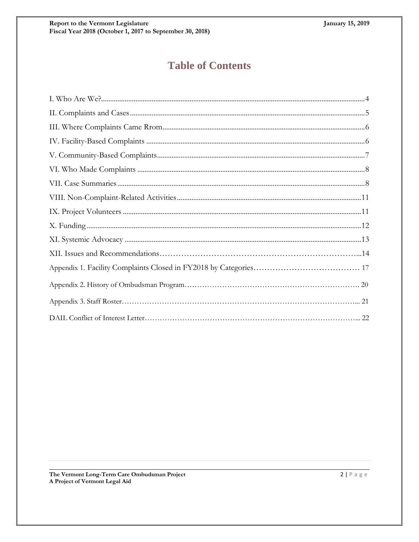# **Table of Contents**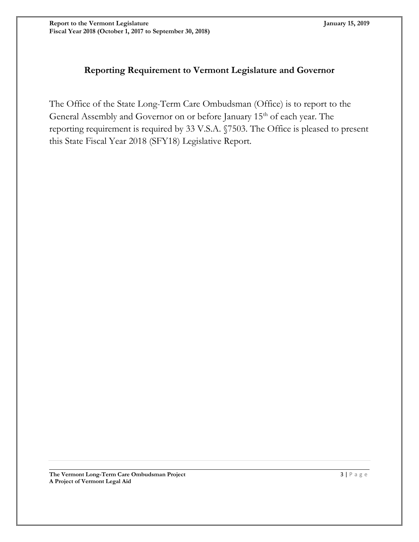# **Reporting Requirement to Vermont Legislature and Governor**

The Office of the State Long-Term Care Ombudsman (Office) is to report to the General Assembly and Governor on or before January 15<sup>th</sup> of each year. The reporting requirement is required by 33 V.S.A. §7503. The Office is pleased to present this State Fiscal Year 2018 (SFY18) Legislative Report.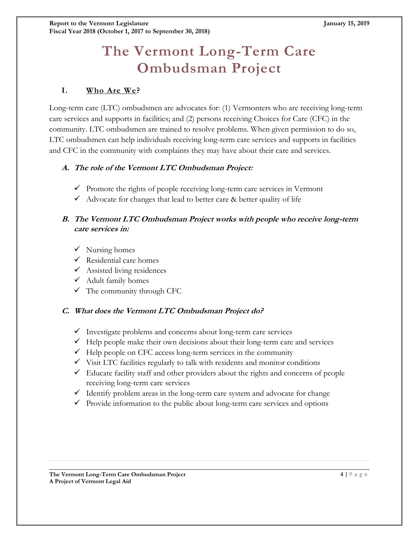# **The Vermont Long-Term Care Ombudsman Project**

# **I. Who Are We?**

Long-term care (LTC) ombudsmen are advocates for: (1) Vermonters who are receiving long-term care services and supports in facilities; and (2) persons receiving Choices for Care (CFC) in the community. LTC ombudsmen are trained to resolve problems. When given permission to do so, LTC ombudsmen can help individuals receiving long-term care services and supports in facilities and CFC in the community with complaints they may have about their care and services.

#### **A. The role of the Vermont LTC Ombudsman Project:**

- $\checkmark$  Promote the rights of people receiving long-term care services in Vermont
- $\checkmark$  Advocate for changes that lead to better care & better quality of life

#### **B. The Vermont LTC Ombudsman Project works with people who receive long-term care services in:**

- $\checkmark$  Nursing homes
- $\checkmark$  Residential care homes
- $\checkmark$  Assisted living residences
- $\checkmark$  Adult family homes
- $\checkmark$  The community through CFC

# **C. What does the Vermont LTC Ombudsman Project do?**

- $\checkmark$  Investigate problems and concerns about long-term care services
- $\checkmark$  Help people make their own decisions about their long-term care and services
- $\checkmark$  Help people on CFC access long-term services in the community
- $\checkmark$  Visit LTC facilities regularly to talk with residents and monitor conditions
- $\checkmark$  Educate facility staff and other providers about the rights and concerns of people receiving long-term care services
- $\checkmark$  Identify problem areas in the long-term care system and advocate for change
- $\checkmark$  Provide information to the public about long-term care services and options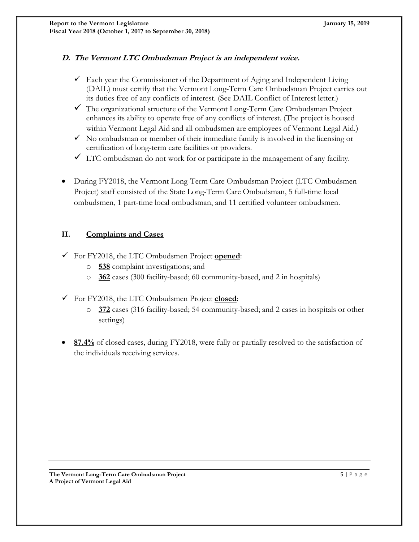# **D. The Vermont LTC Ombudsman Project is an independent voice.**

- $\checkmark$  Each year the Commissioner of the Department of Aging and Independent Living (DAIL) must certify that the Vermont Long-Term Care Ombudsman Project carries out its duties free of any conflicts of interest. (See DAIL Conflict of Interest letter.)
- The organizational structure of the Vermont Long-Term Care Ombudsman Project enhances its ability to operate free of any conflicts of interest. (The project is housed within Vermont Legal Aid and all ombudsmen are employees of Vermont Legal Aid.)
- $\checkmark$  No ombudsman or member of their immediate family is involved in the licensing or certification of long-term care facilities or providers.
- $\checkmark$  LTC ombudsman do not work for or participate in the management of any facility.
- During FY2018, the Vermont Long-Term Care Ombudsman Project (LTC Ombudsmen Project) staff consisted of the State Long-Term Care Ombudsman, 5 full-time local ombudsmen, 1 part-time local ombudsman, and 11 certified volunteer ombudsmen.

#### **II. Complaints and Cases**

- For FY2018, the LTC Ombudsmen Project **opened**:
	- o **538** complaint investigations; and
	- o **362** cases (300 facility-based; 60 community-based, and 2 in hospitals)
- For FY2018, the LTC Ombudsmen Project **closed**:
	- o **372** cases (316 facility-based; 54 community-based; and 2 cases in hospitals or other settings)
- <span id="page-4-0"></span> **87.4%** of closed cases, during FY2018, were fully or partially resolved to the satisfaction of the individuals receiving services.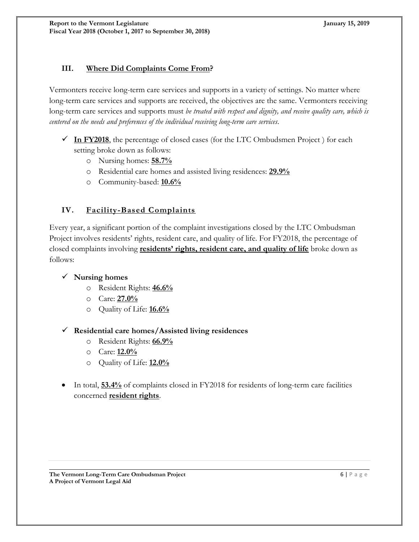# **III. Where Did Complaints Come From?**

Vermonters receive long-term care services and supports in a variety of settings. No matter where long-term care services and supports are received, the objectives are the same. Vermonters receiving long-term care services and supports must *be treated with respect and dignity, and receive quality care, which is centered on the needs and preferences of the individual receiving long-term care services*.

- $\checkmark$  In FY2018, the percentage of closed cases (for the LTC Ombudsmen Project) for each setting broke down as follows:
	- o Nursing homes: **58.7%**
	- o Residential care homes and assisted living residences: **29.9%**
	- o Community-based: **10.6%**

# **IV. Facility-Based Complaints**

Every year, a significant portion of the complaint investigations closed by the LTC Ombudsman Project involves residents' rights, resident care, and quality of life. For FY2018, the percentage of closed complaints involving **residents' rights, resident care, and quality of life** broke down as follows:

#### **Nursing homes**

- o Resident Rights: **46.6%**
- o Care: **27.0%**
- o Quality of Life: **16.6%**

#### **Residential care homes/Assisted living residences**

- o Resident Rights: **66.9%**
- o Care: **12.0%**
- o Quality of Life: **12.0%**
- In total, **53.4%** of complaints closed in FY2018 for residents of long-term care facilities concerned **resident rights**.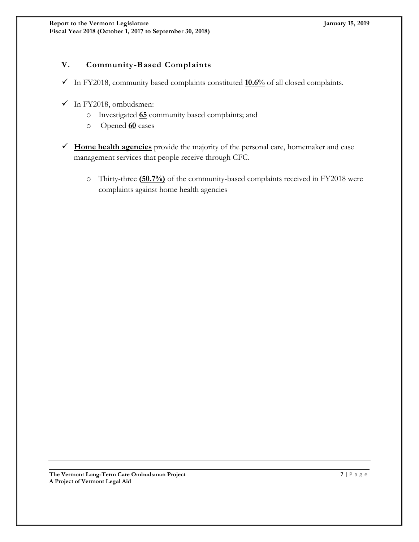# **V. Community-Based Complaints**

- $\checkmark$  In FY2018, community based complaints constituted  $\underline{10.6\%}$  of all closed complaints.
- $\checkmark$  In FY2018, ombudsmen:
	- o Investigated **65** community based complaints; and
	- o Opened **60** cases
- **Home health agencies** provide the majority of the personal care, homemaker and case management services that people receive through CFC.
	- o Thirty-three **(50.7%)** of the community-based complaints received in FY2018 were complaints against home health agencies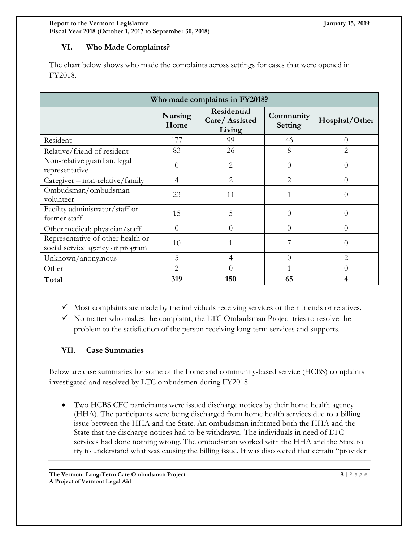#### **VI. Who Made Complaints?**

The chart below shows who made the complaints across settings for cases that were opened in FY2018.

| Who made complaints in FY2018?                                        |                        |                                        |                      |                |  |
|-----------------------------------------------------------------------|------------------------|----------------------------------------|----------------------|----------------|--|
|                                                                       | <b>Nursing</b><br>Home | Residential<br>Care/Assisted<br>Living | Community<br>Setting | Hospital/Other |  |
| Resident                                                              | 177                    | 99                                     | 46                   | $\Omega$       |  |
| Relative/friend of resident                                           | 83                     | 26                                     | 8                    | $\mathfrak{D}$ |  |
| Non-relative guardian, legal<br>representative                        | $\Omega$               | $\overline{2}$                         | 0                    | $\Omega$       |  |
| Caregiver - non-relative/family                                       | $\overline{4}$         | $\overline{2}$                         | $\overline{2}$       | $\Omega$       |  |
| Ombudsman/ombudsman<br>volunteer                                      | 23                     | 11                                     |                      | $\theta$       |  |
| Facility administrator/staff or<br>former staff                       | 15                     | 5                                      | 0                    | $\theta$       |  |
| Other medical: physician/staff                                        | $\Omega$               | 0                                      | 0                    | $\Omega$       |  |
| Representative of other health or<br>social service agency or program | 10                     |                                        |                      | $\Omega$       |  |
| Unknown/anonymous                                                     | 5                      | $\overline{4}$                         | $\Omega$             | $\overline{2}$ |  |
| Other                                                                 | 2                      | $\Omega$                               |                      | $\Omega$       |  |
| Total                                                                 | 319                    | 150                                    | 65                   | 4              |  |

 $\checkmark$  Most complaints are made by the individuals receiving services or their friends or relatives.

 $\checkmark$  No matter who makes the complaint, the LTC Ombudsman Project tries to resolve the problem to the satisfaction of the person receiving long-term services and supports.

#### **VII. Case Summaries**

Below are case summaries for some of the home and community-based service (HCBS) complaints investigated and resolved by LTC ombudsmen during FY2018.

 Two HCBS CFC participants were issued discharge notices by their home health agency (HHA). The participants were being discharged from home health services due to a billing issue between the HHA and the State. An ombudsman informed both the HHA and the State that the discharge notices had to be withdrawn. The individuals in need of LTC services had done nothing wrong. The ombudsman worked with the HHA and the State to try to understand what was causing the billing issue. It was discovered that certain "provider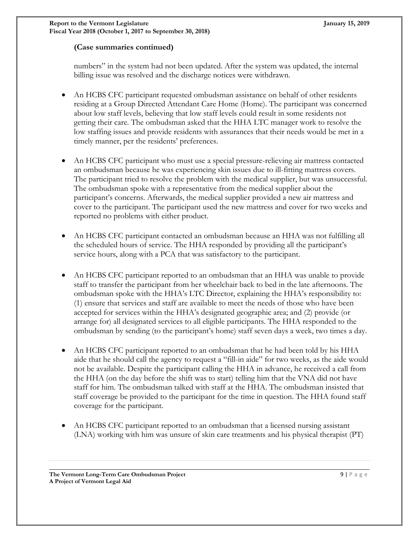#### **(Case summaries continued)**

numbers" in the system had not been updated. After the system was updated, the internal billing issue was resolved and the discharge notices were withdrawn.

- An HCBS CFC participant requested ombudsman assistance on behalf of other residents residing at a Group Directed Attendant Care Home (Home). The participant was concerned about low staff levels, believing that low staff levels could result in some residents not getting their care. The ombudsman asked that the HHA LTC manager work to resolve the low staffing issues and provide residents with assurances that their needs would be met in a timely manner, per the residents' preferences.
- An HCBS CFC participant who must use a special pressure-relieving air mattress contacted an ombudsman because he was experiencing skin issues due to ill-fitting mattress covers. The participant tried to resolve the problem with the medical supplier, but was unsuccessful. The ombudsman spoke with a representative from the medical supplier about the participant's concerns. Afterwards, the medical supplier provided a new air mattress and cover to the participant. The participant used the new mattress and cover for two weeks and reported no problems with either product.
- An HCBS CFC participant contacted an ombudsman because an HHA was not fulfilling all the scheduled hours of service. The HHA responded by providing all the participant's service hours, along with a PCA that was satisfactory to the participant.
- An HCBS CFC participant reported to an ombudsman that an HHA was unable to provide staff to transfer the participant from her wheelchair back to bed in the late afternoons. The ombudsman spoke with the HHA's LTC Director, explaining the HHA's responsibility to: (1) ensure that services and staff are available to meet the needs of those who have been accepted for services within the HHA's designated geographic area; and (2) provide (or arrange for) all designated services to all eligible participants. The HHA responded to the ombudsman by sending (to the participant's home) staff seven days a week, two times a day.
- An HCBS CFC participant reported to an ombudsman that he had been told by his HHA aide that he should call the agency to request a "fill-in aide" for two weeks, as the aide would not be available. Despite the participant calling the HHA in advance, he received a call from the HHA (on the day before the shift was to start) telling him that the VNA did not have staff for him. The ombudsman talked with staff at the HHA. The ombudsman insisted that staff coverage be provided to the participant for the time in question. The HHA found staff coverage for the participant.
- An HCBS CFC participant reported to an ombudsman that a licensed nursing assistant (LNA) working with him was unsure of skin care treatments and his physical therapist (PT)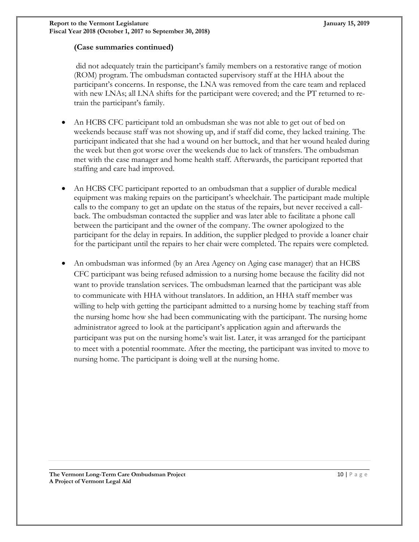#### **(Case summaries continued)**

did not adequately train the participant's family members on a restorative range of motion (ROM) program. The ombudsman contacted supervisory staff at the HHA about the participant's concerns. In response, the LNA was removed from the care team and replaced with new LNAs; all LNA shifts for the participant were covered; and the PT returned to retrain the participant's family.

- An HCBS CFC participant told an ombudsman she was not able to get out of bed on weekends because staff was not showing up, and if staff did come, they lacked training. The participant indicated that she had a wound on her buttock, and that her wound healed during the week but then got worse over the weekends due to lack of transfers. The ombudsman met with the case manager and home health staff. Afterwards, the participant reported that staffing and care had improved.
- An HCBS CFC participant reported to an ombudsman that a supplier of durable medical equipment was making repairs on the participant's wheelchair. The participant made multiple calls to the company to get an update on the status of the repairs, but never received a callback. The ombudsman contacted the supplier and was later able to facilitate a phone call between the participant and the owner of the company. The owner apologized to the participant for the delay in repairs. In addition, the supplier pledged to provide a loaner chair for the participant until the repairs to her chair were completed. The repairs were completed.
- <span id="page-9-0"></span> An ombudsman was informed (by an Area Agency on Aging case manager) that an HCBS CFC participant was being refused admission to a nursing home because the facility did not want to provide translation services. The ombudsman learned that the participant was able to communicate with HHA without translators. In addition, an HHA staff member was willing to help with getting the participant admitted to a nursing home by teaching staff from the nursing home how she had been communicating with the participant. The nursing home administrator agreed to look at the participant's application again and afterwards the participant was put on the nursing home's wait list. Later, it was arranged for the participant to meet with a potential roommate. After the meeting, the participant was invited to move to nursing home. The participant is doing well at the nursing home.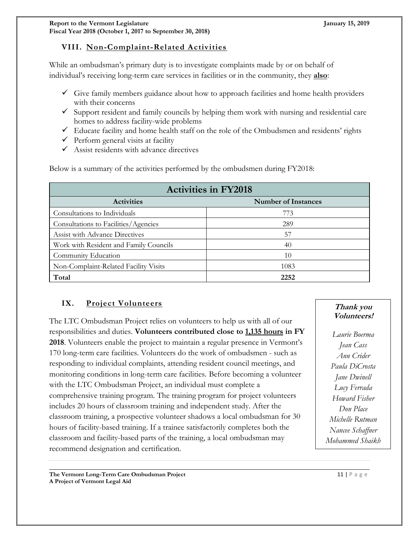# **VIII. Non-Complaint-Related Activities**

While an ombudsman's primary duty is to investigate complaints made by or on behalf of individual's receiving long-term care services in facilities or in the community, they **also**:

- $\checkmark$  Give family members guidance about how to approach facilities and home health providers with their concerns
- $\checkmark$  Support resident and family councils by helping them work with nursing and residential care homes to address facility-wide problems
- $\checkmark$  Educate facility and home health staff on the role of the Ombudsmen and residents' rights
- $\checkmark$  Perform general visits at facility
- $\checkmark$  Assist residents with advance directives

Below is a summary of the activities performed by the ombudsmen during FY2018:

| <b>Activities in FY2018</b>            |                            |  |  |
|----------------------------------------|----------------------------|--|--|
| <b>Activities</b>                      | <b>Number of Instances</b> |  |  |
| Consultations to Individuals           | 773                        |  |  |
| Consultations to Facilities/Agencies   | 289                        |  |  |
| <b>Assist with Advance Directives</b>  | 57                         |  |  |
| Work with Resident and Family Councils | 40                         |  |  |
| Community Education                    | 10                         |  |  |
| Non-Complaint-Related Facility Visits  | 1083                       |  |  |
| Total                                  | 2252                       |  |  |

# <span id="page-10-0"></span>**IX. Project Volunteers**

The LTC Ombudsman Project relies on volunteers to help us with all of our responsibilities and duties. **Volunteers contributed close to 1,135 hours in FY 2018**. Volunteers enable the project to maintain a regular presence in Vermont's 170 long-term care facilities. Volunteers do the work of ombudsmen - such as responding to individual complaints, attending resident council meetings, and monitoring conditions in long-term care facilities. Before becoming a volunteer with the LTC Ombudsman Project, an individual must complete a comprehensive training program. The training program for project volunteers includes 20 hours of classroom training and independent study. After the classroom training, a prospective volunteer shadows a local ombudsman for 30 hours of facility-based training. If a trainee satisfactorily completes both the classroom and facility-based parts of the training, a local ombudsman may recommend designation and certification.

**Thank you Volunteers!**

*Laurie Boerma Jean Cass Ann Crider Paula DiCrosta Jane Dwinell Lucy Ferrada Howard Fisher Don Place Michelle Rutman Nancee Schaffner Mohammed Shaikh*

<span id="page-10-1"></span>**The Vermont Long-Term Care Ombudsman Project** 11 | P a g e **A Project of Vermont Legal Aid**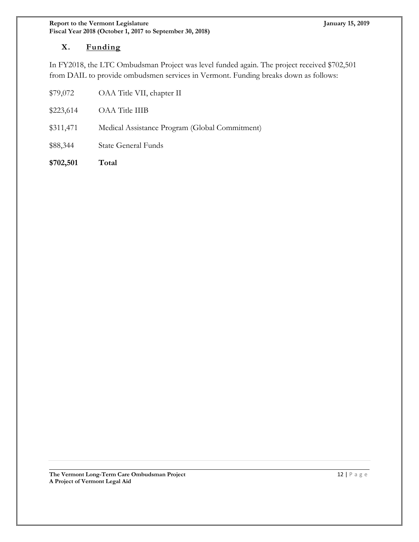# **X. Funding**

In FY2018, the LTC Ombudsman Project was level funded again. The project received \$702,501 from DAIL to provide ombudsmen services in Vermont. Funding breaks down as follows:

| \$79,072  | OAA Title VII, chapter II                      |
|-----------|------------------------------------------------|
| \$223,614 | OAA Title IIIB                                 |
| \$311,471 | Medical Assistance Program (Global Commitment) |
| \$88,344  | <b>State General Funds</b>                     |
|           |                                                |

<span id="page-11-0"></span>**\$702,501 Total**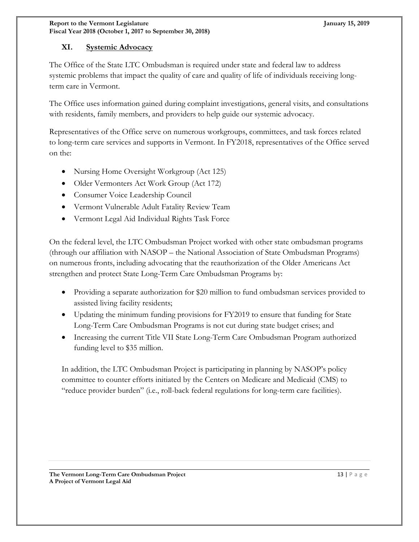#### **XI. Systemic Advocacy**

The Office of the State LTC Ombudsman is required under state and federal law to address systemic problems that impact the quality of care and quality of life of individuals receiving longterm care in Vermont.

The Office uses information gained during complaint investigations, general visits, and consultations with residents, family members, and providers to help guide our systemic advocacy.

Representatives of the Office serve on numerous workgroups, committees, and task forces related to long-term care services and supports in Vermont. In FY2018, representatives of the Office served on the:

- Nursing Home Oversight Workgroup (Act 125)
- Older Vermonters Act Work Group (Act 172)
- Consumer Voice Leadership Council
- Vermont Vulnerable Adult Fatality Review Team
- <span id="page-12-0"></span>Vermont Legal Aid Individual Rights Task Force

On the federal level, the LTC Ombudsman Project worked with other state ombudsman programs (through our affiliation with NASOP – the National Association of State Ombudsman Programs) on numerous fronts, including advocating that the reauthorization of the Older Americans Act strengthen and protect State Long-Term Care Ombudsman Programs by:

- Providing a separate authorization for \$20 million to fund ombudsman services provided to assisted living facility residents;
- Updating the minimum funding provisions for FY2019 to ensure that funding for State Long-Term Care Ombudsman Programs is not cut during state budget crises; and
- Increasing the current Title VII State Long-Term Care Ombudsman Program authorized funding level to \$35 million.

In addition, the LTC Ombudsman Project is participating in planning by NASOP's policy committee to counter efforts initiated by the Centers on Medicare and Medicaid (CMS) to "reduce provider burden" (i.e., roll-back federal regulations for long-term care facilities).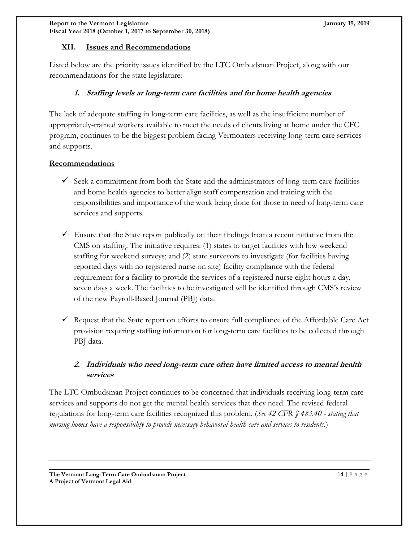#### **XII. Issues and Recommendations**

Listed below are the priority issues identified by the LTC Ombudsman Project, along with our recommendations for the state legislature:

#### **1. Staffing levels at long-term care facilities and for home health agencies**

The lack of adequate staffing in long-term care facilities, as well as the insufficient number of appropriately-trained workers available to meet the needs of clients living at home under the CFC program, continues to be the biggest problem facing Vermonters receiving long-term care services and supports.

#### **Recommendations**

- $\checkmark$  Seek a commitment from both the State and the administrators of long-term care facilities and home health agencies to better align staff compensation and training with the responsibilities and importance of the work being done for those in need of long-term care services and supports.
- $\checkmark$  Ensure that the State report publically on their findings from a recent initiative from the CMS on staffing. The initiative requires: (1) states to target facilities with low weekend staffing for weekend surveys; and (2) state surveyors to investigate (for facilities having reported days with no registered nurse on site) facility compliance with the federal requirement for a facility to provide the services of a registered nurse eight hours a day, seven days a week. The facilities to be investigated will be identified through CMS's review of the new Payroll-Based Journal (PBJ) data.
- Request that the State report on efforts to ensure full compliance of the Affordable Care Act provision requiring staffing information for long-term care facilities to be collected through PBJ data.

# **2. Individuals who need long-term care often have limited access to mental health services**

The LTC Ombudsman Project continues to be concerned that individuals receiving long-term care services and supports do not get the mental health services that they need. The revised federal regulations for long-term care facilities recognized this problem. (*See 42 CFR § 483.40 - stating that nursing homes have a responsibility to provide necessary behavioral health care and services to residents.*)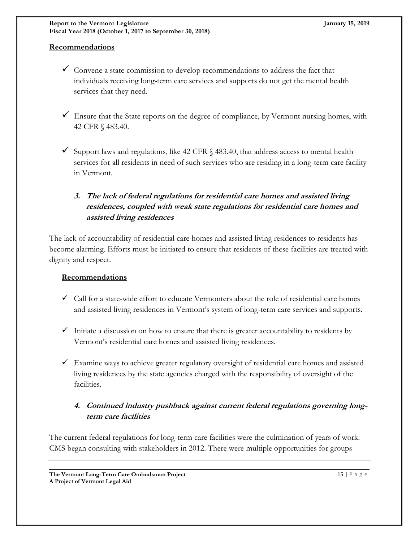#### **Recommendations**

- $\checkmark$  Convene a state commission to develop recommendations to address the fact that individuals receiving long-term care services and supports do not get the mental health services that they need.
- $\checkmark$  Ensure that the State reports on the degree of compliance, by Vermont nursing homes, with 42 CFR § 483.40.
- $\checkmark$  Support laws and regulations, like 42 CFR § 483.40, that address access to mental health services for all residents in need of such services who are residing in a long-term care facility in Vermont.

# **3. The lack of federal regulations for residential care homes and assisted living residences, coupled with weak state regulations for residential care homes and assisted living residences**

The lack of accountability of residential care homes and assisted living residences to residents has become alarming. Efforts must be initiated to ensure that residents of these facilities are treated with dignity and respect.

#### **Recommendations**

- $\checkmark$  Call for a state-wide effort to educate Vermonters about the role of residential care homes and assisted living residences in Vermont's system of long-term care services and supports.
- $\checkmark$  Initiate a discussion on how to ensure that there is greater accountability to residents by Vermont's residential care homes and assisted living residences.
- $\checkmark$  Examine ways to achieve greater regulatory oversight of residential care homes and assisted living residences by the state agencies charged with the responsibility of oversight of the facilities.

# **4. Continued industry pushback against current federal regulations governing longterm care facilities**

The current federal regulations for long-term care facilities were the culmination of years of work. CMS began consulting with stakeholders in 2012. There were multiple opportunities for groups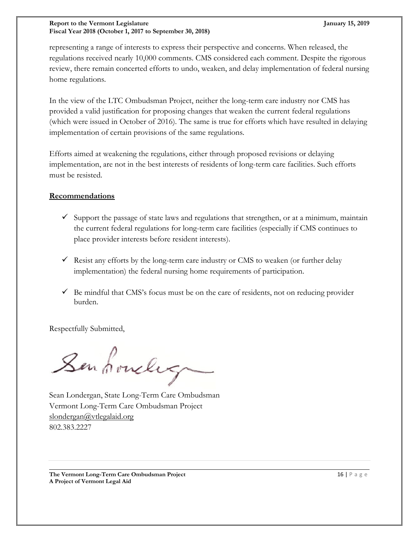#### **Report to the Vermont Legislature January 15, 2019 Fiscal Year 2018 (October 1, 2017 to September 30, 2018)**

representing a range of interests to express their perspective and concerns. When released, the regulations received nearly 10,000 comments. CMS considered each comment. Despite the rigorous review, there remain concerted efforts to undo, weaken, and delay implementation of federal nursing home regulations.

In the view of the LTC Ombudsman Project, neither the long-term care industry nor CMS has provided a valid justification for proposing changes that weaken the current federal regulations (which were issued in October of 2016). The same is true for efforts which have resulted in delaying implementation of certain provisions of the same regulations.

Efforts aimed at weakening the regulations, either through proposed revisions or delaying implementation, are not in the best interests of residents of long-term care facilities. Such efforts must be resisted.

#### **Recommendations**

- $\checkmark$  Support the passage of state laws and regulations that strengthen, or at a minimum, maintain the current federal regulations for long-term care facilities (especially if CMS continues to place provider interests before resident interests).
- $\checkmark$  Resist any efforts by the long-term care industry or CMS to weaken (or further delay implementation) the federal nursing home requirements of participation.
- $\checkmark$  Be mindful that CMS's focus must be on the care of residents, not on reducing provider burden.

Respectfully Submitted,

Senhowley

Sean Londergan, State Long-Term Care Ombudsman Vermont Long-Term Care Ombudsman Project [slondergan@vtlegalaid.org](mailto:jmajoros@vtlegalaid.org) 802.383.2227

**The Vermont Long-Term Care Ombudsman Project** 16 | P a g e computer 16 | P a g e computer 16 | P a g e computer 16 | P a g e computer 16 | P a g e computer 16 | P a g e computer 16 | P a g e computer 16 | P a g e computer **A Project of Vermont Legal Aid**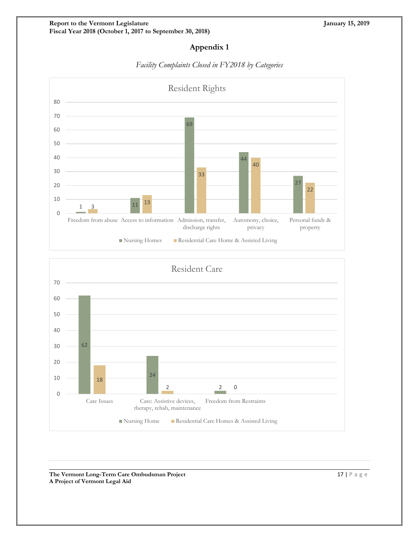# **Appendix 1**



#### *Facility Complaints Closed in FY2018 by Categories*



**The Vermont Long-Term Care Ombudsman Project** 17 | P a g e **A Project of Vermont Legal Aid**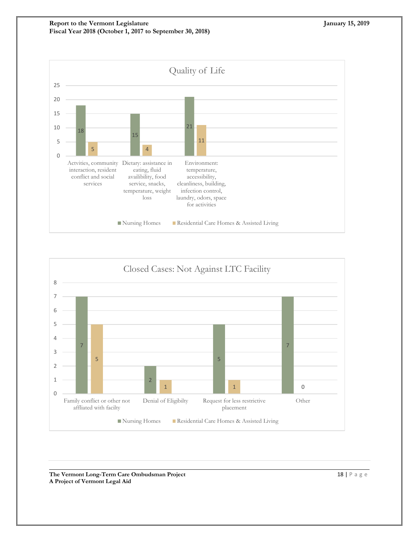**Report to the Vermont Legislature January 15, 2019 Fiscal Year 2018 (October 1, 2017 to September 30, 2018)**





**The Vermont Long-Term Care Ombudsman Project** 18 | P a g e **A Project of Vermont Legal Aid**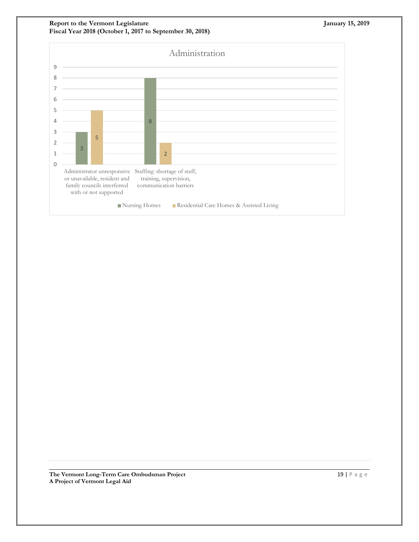**Report to the Vermont Legislature January 15, 2019 Fiscal Year 2018 (October 1, 2017 to September 30, 2018)**



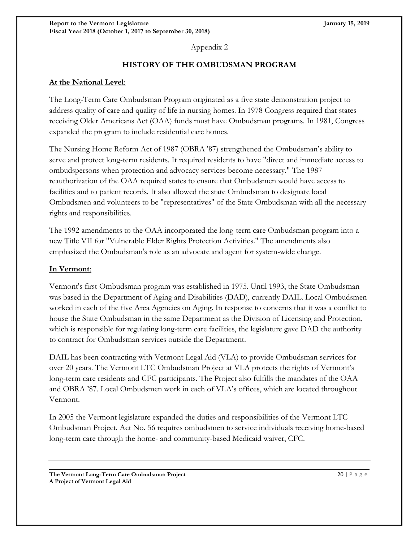Appendix 2

# **HISTORY OF THE OMBUDSMAN PROGRAM**

#### **At the National Level**:

The Long-Term Care Ombudsman Program originated as a five state demonstration project to address quality of care and quality of life in nursing homes. In 1978 Congress required that states receiving Older Americans Act (OAA) funds must have Ombudsman programs. In 1981, Congress expanded the program to include residential care homes.

The Nursing Home Reform Act of 1987 (OBRA '87) strengthened the Ombudsman's ability to serve and protect long-term residents. It required residents to have "direct and immediate access to ombudspersons when protection and advocacy services become necessary." The 1987 reauthorization of the OAA required states to ensure that Ombudsmen would have access to facilities and to patient records. It also allowed the state Ombudsman to designate local Ombudsmen and volunteers to be "representatives" of the State Ombudsman with all the necessary rights and responsibilities.

The 1992 amendments to the OAA incorporated the long-term care Ombudsman program into a new Title VII for "Vulnerable Elder Rights Protection Activities." The amendments also emphasized the Ombudsman's role as an advocate and agent for system-wide change.

#### **In Vermont**:

Vermont's first Ombudsman program was established in 1975. Until 1993, the State Ombudsman was based in the Department of Aging and Disabilities (DAD), currently DAIL. Local Ombudsmen worked in each of the five Area Agencies on Aging. In response to concerns that it was a conflict to house the State Ombudsman in the same Department as the Division of Licensing and Protection, which is responsible for regulating long-term care facilities, the legislature gave DAD the authority to contract for Ombudsman services outside the Department.

DAIL has been contracting with Vermont Legal Aid (VLA) to provide Ombudsman services for over 20 years. The Vermont LTC Ombudsman Project at VLA protects the rights of Vermont's long-term care residents and CFC participants. The Project also fulfills the mandates of the OAA and OBRA '87. Local Ombudsmen work in each of VLA's offices, which are located throughout Vermont.

In 2005 the Vermont legislature expanded the duties and responsibilities of the Vermont LTC Ombudsman Project. Act No. 56 requires ombudsmen to service individuals receiving home-based long-term care through the home- and community-based Medicaid waiver, CFC.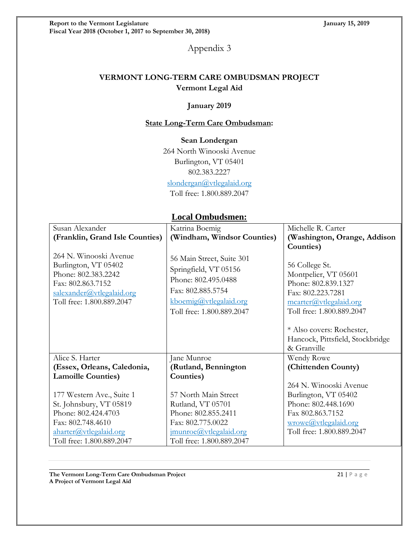Appendix 3

# **VERMONT LONG-TERM CARE OMBUDSMAN PROJECT Vermont Legal Aid**

#### **January 2019**

#### **State Long-Term Care Ombudsman:**

#### **Sean Londergan**

264 North Winooski Avenue Burlington, VT 05401 802.383.2227 [slondergan@vtlegalaid.org](mailto:eavildsen@vtlegalaid.org)

Toll free: 1.800.889.2047

# **Local Ombudsmen:**

| Susan Alexander                 | Katrina Boemig              | Michelle R. Carter               |
|---------------------------------|-----------------------------|----------------------------------|
|                                 |                             |                                  |
| (Franklin, Grand Isle Counties) | (Windham, Windsor Counties) | (Washington, Orange, Addison     |
|                                 |                             | Counties)                        |
| 264 N. Winooski Avenue          | 56 Main Street, Suite 301   |                                  |
| Burlington, VT 05402            | Springfield, VT 05156       | 56 College St.                   |
| Phone: 802.383.2242             | Phone: 802.495.0488         | Montpelier, VT 05601             |
| Fax: 802.863.7152               |                             | Phone: 802.839.1327              |
| salexander@vtlegalaid.org       | Fax: 802.885.5754           | Fax: 802.223.7281                |
| Toll free: 1.800.889.2047       | kboemig@vtlegalaid.org      | mcarter@vtlegalaid.org           |
|                                 | Toll free: 1.800.889.2047   | Toll free: 1.800.889.2047        |
|                                 |                             |                                  |
|                                 |                             | * Also covers: Rochester,        |
|                                 |                             | Hancock, Pittsfield, Stockbridge |
|                                 |                             | & Granville                      |
| Alice S. Harter                 | Jane Munroe                 | Wendy Rowe                       |
| (Essex, Orleans, Caledonia,     | (Rutland, Bennington        | (Chittenden County)              |
| <b>Lamoille Counties)</b>       | Counties)                   |                                  |
|                                 |                             | 264 N. Winooski Avenue           |
| 177 Western Ave., Suite 1       | 57 North Main Street        | Burlington, VT 05402             |
| St. Johnsbury, VT 05819         | Rutland, VT 05701           | Phone: 802.448.1690              |
| Phone: 802.424.4703             | Phone: 802.855.2411         | Fax 802.863.7152                 |
| Fax: 802.748.4610               | Fax: 802.775.0022           | wrowe@vtlegalaid.org             |
| aharter@vtlegalaid.org          | imunroe@vtlegalaid.org      | Toll free: 1.800.889.2047        |
| Toll free: 1.800.889.2047       | Toll free: 1.800.889.2047   |                                  |